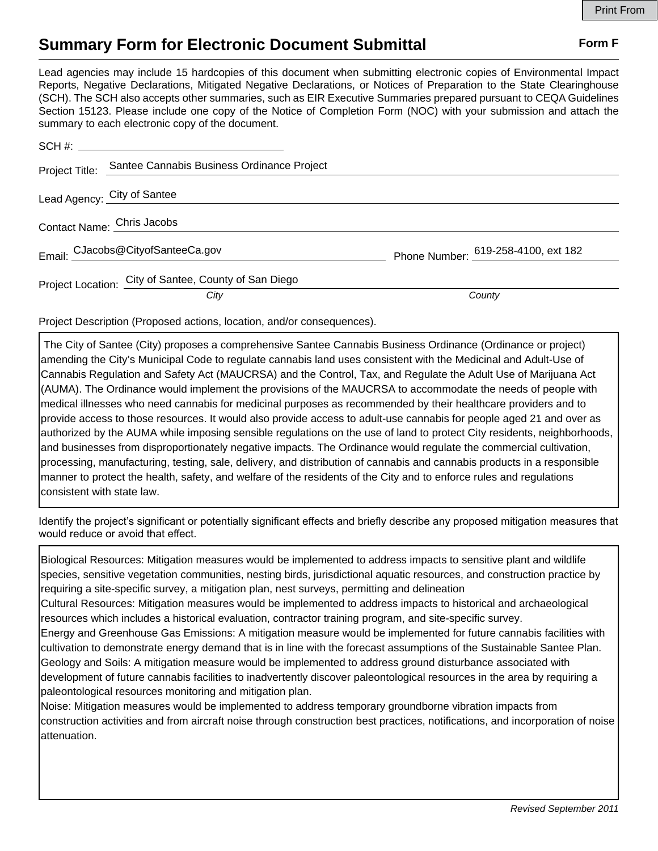## **Summary Form for Electronic Document Submittal Form F Form F**

Lead agencies may include 15 hardcopies of this document when submitting electronic copies of Environmental Impact Reports, Negative Declarations, Mitigated Negative Declarations, or Notices of Preparation to the State Clearinghouse (SCH). The SCH also accepts other summaries, such as EIR Executive Summaries prepared pursuant to CEQA Guidelines Section 15123. Please include one copy of the Notice of Completion Form (NOC) with your submission and attach the summary to each electronic copy of the document.

| Project Title:              | Santee Cannabis Business Ordinance Project            |                                     |
|-----------------------------|-------------------------------------------------------|-------------------------------------|
| Lead Agency: City of Santee |                                                       |                                     |
| Contact Name: Chris Jacobs  |                                                       |                                     |
|                             | Email: CJacobs@CityofSanteeCa.gov                     | Phone Number: 619-258-4100, ext 182 |
|                             | Project Location: City of Santee, County of San Diego |                                     |
|                             | City                                                  | County                              |

Project Description (Proposed actions, location, and/or consequences).

 The City of Santee (City) proposes a comprehensive Santee Cannabis Business Ordinance (Ordinance or project) amending the City's Municipal Code to regulate cannabis land uses consistent with the Medicinal and Adult-Use of Cannabis Regulation and Safety Act (MAUCRSA) and the Control, Tax, and Regulate the Adult Use of Marijuana Act (AUMA). The Ordinance would implement the provisions of the MAUCRSA to accommodate the needs of people with medical illnesses who need cannabis for medicinal purposes as recommended by their healthcare providers and to provide access to those resources. It would also provide access to adult-use cannabis for people aged 21 and over as authorized by the AUMA while imposing sensible regulations on the use of land to protect City residents, neighborhoods, and businesses from disproportionately negative impacts. The Ordinance would regulate the commercial cultivation, processing, manufacturing, testing, sale, delivery, and distribution of cannabis and cannabis products in a responsible manner to protect the health, safety, and welfare of the residents of the City and to enforce rules and regulations consistent with state law.

Identify the project's significant or potentially significant effects and briefly describe any proposed mitigation measures that would reduce or avoid that effect.

Biological Resources: Mitigation measures would be implemented to address impacts to sensitive plant and wildlife species, sensitive vegetation communities, nesting birds, jurisdictional aquatic resources, and construction practice by requiring a site-specific survey, a mitigation plan, nest surveys, permitting and delineation Cultural Resources: Mitigation measures would be implemented to address impacts to historical and archaeological resources which includes a historical evaluation, contractor training program, and site-specific survey. Energy and Greenhouse Gas Emissions: A mitigation measure would be implemented for future cannabis facilities with cultivation to demonstrate energy demand that is in line with the forecast assumptions of the Sustainable Santee Plan. Geology and Soils: A mitigation measure would be implemented to address ground disturbance associated with development of future cannabis facilities to inadvertently discover paleontological resources in the area by requiring a paleontological resources monitoring and mitigation plan. Noise: Mitigation measures would be implemented to address temporary groundborne vibration impacts from

construction activities and from aircraft noise through construction best practices, notifications, and incorporation of noise attenuation.